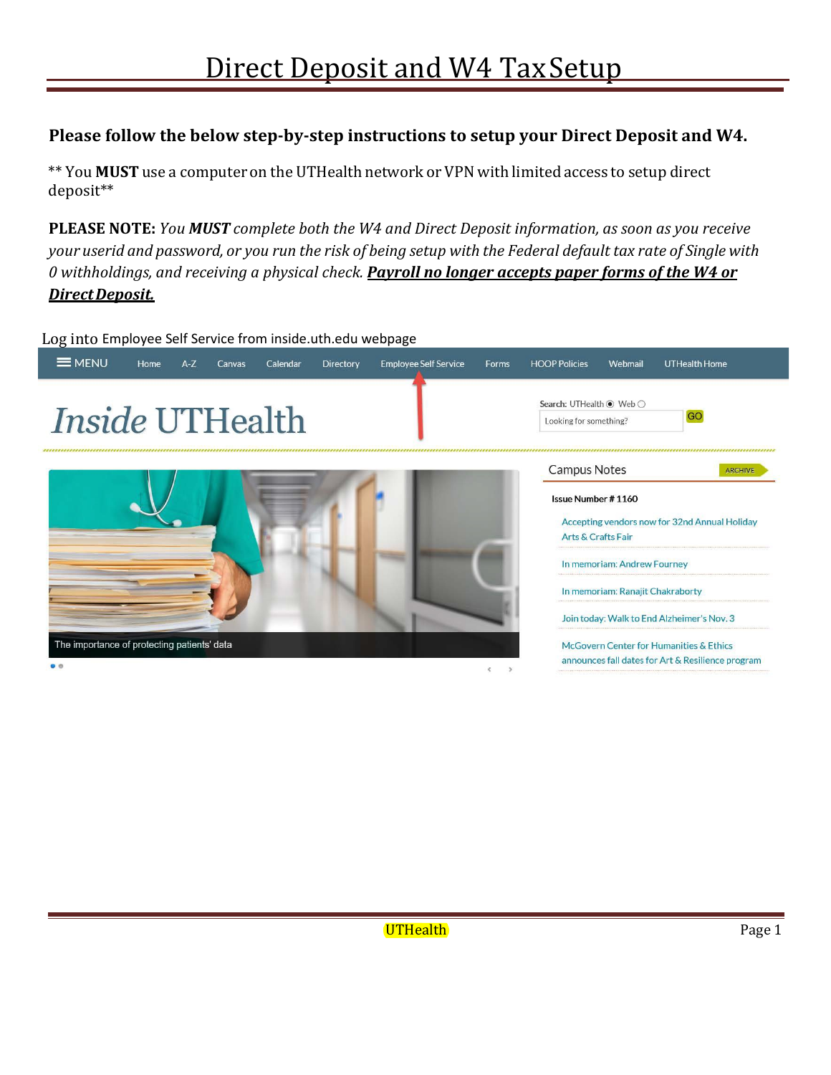# **Please follow the below step-by-step instructions to setup your Direct Deposit and W4.**

\*\* You **MUST** use a computer on the UTHealth network or VPN with limited access to setup direct deposit\*\*

**PLEASE NOTE:** *You MUST complete both the W4 and Direct Deposit information, as soon as you receive*  your userid and password, or you run the risk of being setup with the Federal default tax rate of Single with *0 withholdings, and receiving a physical check. Payroll no longer accepts paper forms of the W4 or DirectDeposit.*

Log into Employee Self Service from inside.uth.edu webpage

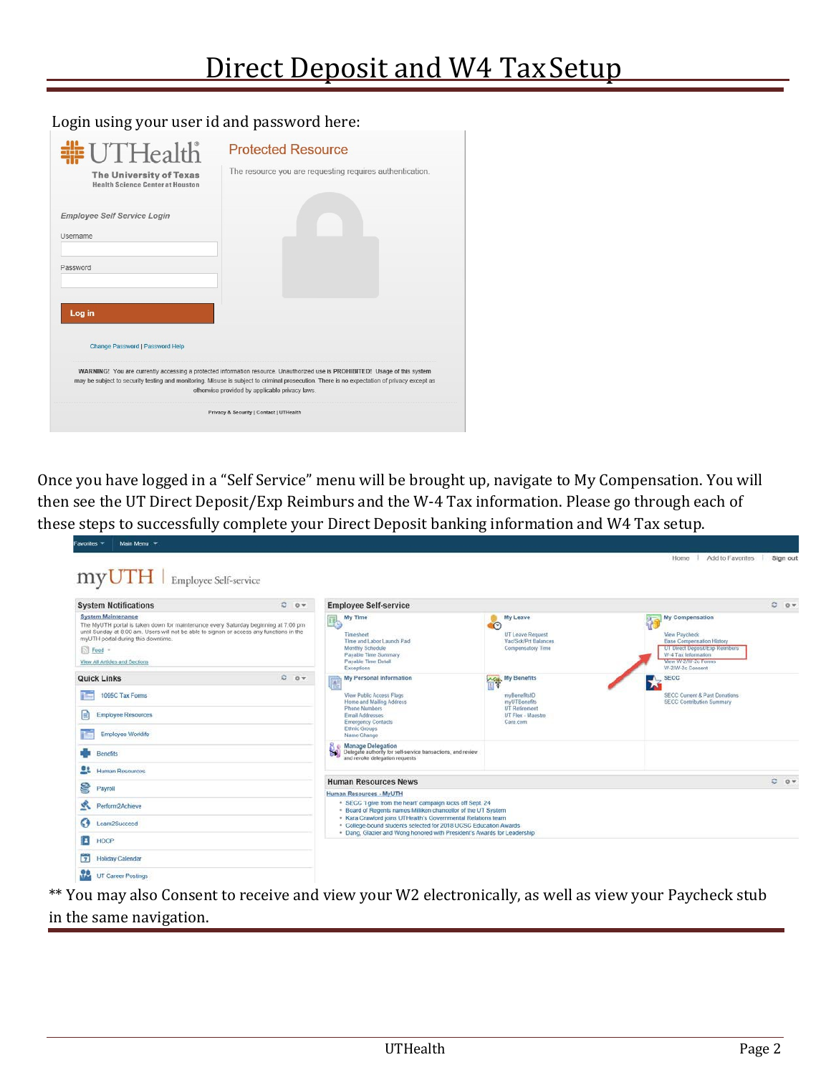Login using your user id and password here:

| #UTHealth                                                                 | <b>Protected Resource</b>                                                                                                                                                                    |
|---------------------------------------------------------------------------|----------------------------------------------------------------------------------------------------------------------------------------------------------------------------------------------|
| <b>The University of Texas</b><br><b>Health Science Center at Houston</b> | The resource you are requesting requires authentication.                                                                                                                                     |
| <b>Employee Self Service Login</b>                                        |                                                                                                                                                                                              |
| <b>Username</b>                                                           |                                                                                                                                                                                              |
| Password                                                                  |                                                                                                                                                                                              |
| Log in                                                                    |                                                                                                                                                                                              |
|                                                                           |                                                                                                                                                                                              |
|                                                                           |                                                                                                                                                                                              |
| <b>Change Password   Password Help</b>                                    |                                                                                                                                                                                              |
|                                                                           | WARNING! You are currently accessing a protected information resource. Unauthorized use is PROHIBITED! Usage of this system                                                                  |
|                                                                           | may be subject to security testing and monitoring. Misuse is subject to criminal prosecution. There is no expectation of privacy except as<br>otherwise provided by applicable privacy laws. |

Once you have logged in a "Self Service" menu will be brought up, navigate to My Compensation. You will then see the UT Direct Deposit/Exp Reimburs and the W-4 Tax information. Please go through each of these steps to successfully complete your Direct Deposit banking information and W4 Tax setup.

| <b>System Notifications</b>                                                                                                                                                                                                                                                                          | $C = 0$ | <b>Employee Self-service</b>                                                                                                                          |                                                                                      |                                                                                                                                                                           | $0 - 0 +$ |
|------------------------------------------------------------------------------------------------------------------------------------------------------------------------------------------------------------------------------------------------------------------------------------------------------|---------|-------------------------------------------------------------------------------------------------------------------------------------------------------|--------------------------------------------------------------------------------------|---------------------------------------------------------------------------------------------------------------------------------------------------------------------------|-----------|
| <b>System Maintenance</b><br>The MyUTH portal is taken down for maintenance every Saturday beginning at 7:00 pm<br>until Sunday at 8:00 am. Users will not be able to signon or access any functions in the<br>myUTH portal during this downtime.<br>$\Box$ Feed -<br>View All Articles and Sections |         | My Time<br>R<br><b>SER</b><br>Timesheet<br>Time and Labor Launch Pad<br>Monthly Schedule<br>Payable Time Summary<br>Payable Time Detail<br>Exceptions | My Leave<br>$\circ$<br>UT Leave Request<br>Vac/Sck/Prt Balances<br>Compensatory Time | My Compensation<br>View Paycheck<br><b>Base Compensation History</b><br>UT Direct Deposit/Exp Reimburs<br>W-4 Tax Information<br>View VI-2/W-2c Forms<br>W-2/W-2c Consent |           |
| <b>Quick Links</b>                                                                                                                                                                                                                                                                                   | 0.07    | My Personal Information                                                                                                                               | My Benefits                                                                          | <b>SECC</b>                                                                                                                                                               |           |
| 1095C Tax Forms                                                                                                                                                                                                                                                                                      |         | View Public Access Flags                                                                                                                              | myBenefitsID                                                                         | <b>SECC Current &amp; Past Donations</b>                                                                                                                                  |           |
| e<br><b>Employee Resources</b>                                                                                                                                                                                                                                                                       |         | Home and Mailing Address<br>Phone Numbers<br>Email Addresses<br><b>Emergency Contacts</b>                                                             | myUTBenefits<br>UT Retirement<br>UT Flex - Maestro<br>Care com                       | <b>SECC Contribution Summary</b>                                                                                                                                          |           |
| <b>Employee Worklife</b>                                                                                                                                                                                                                                                                             |         | <b>Ethnic Groups</b><br>Name Change                                                                                                                   |                                                                                      |                                                                                                                                                                           |           |
| <b>Benefits</b>                                                                                                                                                                                                                                                                                      |         | <b>Manage Delegation</b><br>Delegate authority for self-service transactions, and review<br>۳а<br>and revoke delegation requests                      |                                                                                      |                                                                                                                                                                           |           |
| æ<br>Human Resources                                                                                                                                                                                                                                                                                 |         |                                                                                                                                                       |                                                                                      |                                                                                                                                                                           |           |
| 8<br>Payroll                                                                                                                                                                                                                                                                                         |         | <b>Human Resources News</b>                                                                                                                           |                                                                                      |                                                                                                                                                                           | $C = 0 +$ |
|                                                                                                                                                                                                                                                                                                      |         | Human Resources - MyUTH<br>. SECC 'I give from the heart' campaign kicks off Sept. 24                                                                 |                                                                                      |                                                                                                                                                                           |           |
| s.<br>Perform2Achieve                                                                                                                                                                                                                                                                                |         | . Board of Regents names Milliken chancellor of the UT System<br>· Kara Crawford joins UTHealth's Governmental Relations team                         |                                                                                      |                                                                                                                                                                           |           |
| G)<br>Learn2Succeed                                                                                                                                                                                                                                                                                  |         | . College-bound students selected for 2018 UCSC Education Awards                                                                                      |                                                                                      |                                                                                                                                                                           |           |
| п<br>HOOP                                                                                                                                                                                                                                                                                            |         | . Dang, Glazier and Wong honored with President's Awards for Leadership                                                                               |                                                                                      |                                                                                                                                                                           |           |
| <b>Holiday Calendar</b><br>n                                                                                                                                                                                                                                                                         |         |                                                                                                                                                       |                                                                                      |                                                                                                                                                                           |           |
|                                                                                                                                                                                                                                                                                                      |         |                                                                                                                                                       |                                                                                      |                                                                                                                                                                           |           |

\*\* You may also Consent to receive and view your W2 electronically, as well as view your Paycheck stub in the same navigation.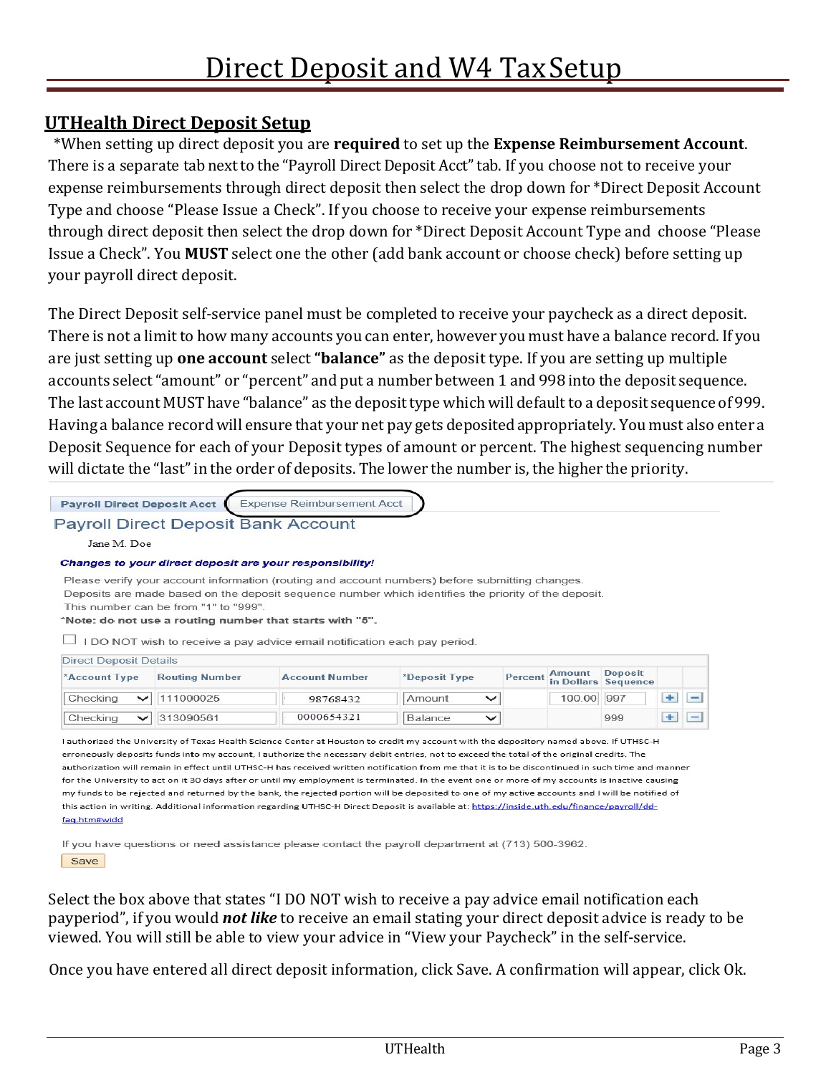# **UTHealth Direct Deposit Setup**

\*When setting up direct deposit you are **required** to set up the **Expense Reimbursement Account**. There is a separate tab next to the "Payroll Direct Deposit Acct" tab. If you choose not to receive your expense reimbursements through direct deposit then select the drop down for \*Direct Deposit Account Type and choose "Please Issue a Check". If you choose to receive your expense reimbursements through direct deposit then select the drop down for \*Direct Deposit Account Type and choose "Please Issue a Check". You **MUST** select one the other (add bank account or choose check) before setting up your payroll direct deposit.

The Direct Deposit self-service panel must be completed to receive your paycheck as a direct deposit. There is not a limit to how many accounts you can enter, however you must have a balance record. If you are just setting up **one account** select **"balance"** as the deposit type. If you are setting up multiple accounts select"amount" or "percent" and put a number between 1 and 998 into the deposit sequence. The last account MUST have "balance" as the deposit type which will default to a deposit sequence of 999. Having a balance recordwill ensure that your net pay gets depositedappropriately. You must also enter a Deposit Sequence for each of your Deposit types of amount or percent. The highest sequencing number will dictate the "last"in the order of deposits. The lower the number is, the higher the priority.

|                                                | <b>Payroll Direct Deposit Bank Account</b>                                                                                                   |                                                                                                                                       |               |              |                |               |                                       |   |                          |
|------------------------------------------------|----------------------------------------------------------------------------------------------------------------------------------------------|---------------------------------------------------------------------------------------------------------------------------------------|---------------|--------------|----------------|---------------|---------------------------------------|---|--------------------------|
| Jane M. Doe                                    |                                                                                                                                              |                                                                                                                                       |               |              |                |               |                                       |   |                          |
|                                                |                                                                                                                                              | Changes to your direct deposit are your responsibility!                                                                               |               |              |                |               |                                       |   |                          |
|                                                |                                                                                                                                              |                                                                                                                                       |               |              |                |               |                                       |   |                          |
|                                                | Deposits are made based on the deposit sequence number which identifies the priority of the deposit.<br>This number can be from "1" to "999" | "Note: do not use a routing number that starts with "5".<br>I DO NOT wish to receive a pay advice email notification each pay period. |               |              |                |               |                                       |   |                          |
| <b>Direct Deposit Details</b><br>*Account Type | <b>Routing Number</b>                                                                                                                        | <b>Account Number</b>                                                                                                                 | *Deposit Type |              | <b>Percent</b> | <b>Amount</b> | <b>Deposit</b><br>in Dollars Sequence |   |                          |
| Checking<br>$\checkmark$                       | 111000025                                                                                                                                    | 98768432                                                                                                                              | Amount        | $\checkmark$ |                | 100.00        | 997                                   | ÷ | $\overline{\phantom{0}}$ |

for the University to act on it 30 days after or until my employment is terminated. In the event one or more of my accounts is inactive causing my funds to be rejected and returned by the bank, the rejected portion will be deposited to one of my active accounts and I will be notified of this action in writing. Additional information regarding UTHSC-H Direct Deposit is available at: https://inside.uth.edu/finance/payroll/ddfag.htm#widd

If you have questions or need assistance please contact the payroll department at (713) 500-3962.

Save

Select the box above that states "I DO NOT wish to receive a pay advice email notification each payperiod", if you would *not like* to receive an email stating your direct deposit advice is ready to be viewed. You will still be able to view your advice in "View your Paycheck" in the self-service.

Once you have entered all direct deposit information, click Save. A confirmation will appear, click Ok.